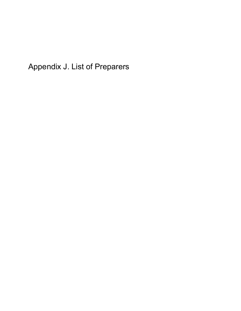Appendix J. List of Preparers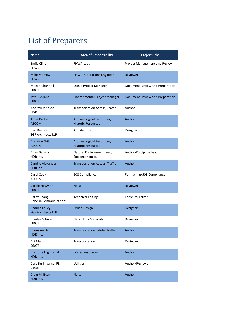## List of Preparers

| <b>Name</b>                                        | <b>Area of Responsibility</b>                          | <b>Project Role</b>             |
|----------------------------------------------------|--------------------------------------------------------|---------------------------------|
| <b>Emily Cline</b><br><b>FHWA</b>                  | <b>FHWA Lead</b>                                       | Project Management and Review   |
| <b>Mike Morrow</b><br><b>FHWA</b>                  | FHWA, Operations Engineer                              | Reviewer                        |
| Megan Channell<br><b>ODOT</b>                      | <b>ODOT Project Manager</b>                            | Document Review and Preparation |
| <b>Jeff Buckland</b><br><b>ODOT</b>                | <b>Environmental Project Manager</b>                   | Document Review and Preparation |
| Andrew Johnson<br>HDR Inc.                         | <b>Transportation Access, Traffic</b>                  | Author                          |
| Anisa Becker<br><b>AECOM</b>                       | Archaeological Resources,<br><b>Historic Resources</b> | <b>Author</b>                   |
| <b>Ben Deines</b><br><b>ZGF Architects LLP</b>     | Architecture                                           | Designer                        |
| <b>Brandon Grilc</b><br><b>AECOM</b>               | Archaeological Resources,<br><b>Historic Resources</b> | Author                          |
| Brian Bauman<br>HDR Inc.                           | Natural Environment Lead,<br>Socioeconomics            | Author/Discipline Lead          |
| Camille Alexander<br>HDR Inc.                      | <b>Transportation Access, Traffic</b>                  | Author                          |
| Carol Cook<br><b>AECOM</b>                         | 508 Compliance                                         | Formatting/508 Compliance       |
| <b>Carole Newvine</b><br><b>ODOT</b>               | <b>Noise</b>                                           | Reviewer                        |
| Cathy Chang<br><b>Concise Communications</b>       | <b>Technical Editing</b>                               | <b>Technical Editor</b>         |
| <b>Charles Kelley</b><br><b>ZGF Architects LLP</b> | <b>Urban Design</b>                                    | Designer                        |
| <b>Charles Schwarz</b><br>ODOT                     | <b>Hazardous Materials</b>                             | Reviewer                        |
| Chengxin Dai<br>HDR Inc.                           | <b>Transportation Safety, Traffic</b>                  | Author                          |
| Chi Mai<br>ODOT                                    | Transportation                                         | Reviewer                        |
| Christine Higgins, PE<br>HDR Inc.                  | <b>Water Resources</b>                                 | Author                          |
| Cory Burlingame, PE<br>Casso                       | <b>Utilities</b>                                       | Author/Reviewer                 |
| <b>Craig Milliken</b><br>HDR Inc.                  | <b>Noise</b>                                           | Author                          |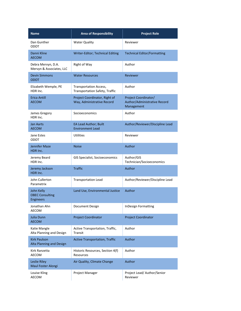| <b>Name</b>                                              | <b>Area of Responsibility</b>                                          | <b>Project Role</b>                                                |
|----------------------------------------------------------|------------------------------------------------------------------------|--------------------------------------------------------------------|
| Dan Gunther<br>ODOT                                      | <b>Water Quality</b>                                                   | Reviewer                                                           |
| Danni Kline<br><b>AECOM</b>                              | Writer-Editor; Technical Editing                                       | <b>Technical Editor/Formatting</b>                                 |
| Debra Mervyn, D.A.<br>Mervyn & Associates, LLC           | Right of Way                                                           | Author                                                             |
| <b>Devin Simmons</b><br><b>ODOT</b>                      | <b>Water Resources</b>                                                 | Reviewer                                                           |
| Elizabeth Wemple, PE<br>HDR Inc.                         | <b>Transportation Access,</b><br><b>Transportation Safety, Traffic</b> | Author                                                             |
| Erica Antill<br><b>AECOM</b>                             | Project Coordinator, Right of<br>Way, Administrative Record            | Project Coordinator/<br>Author/Administrative Record<br>Management |
| James Gregory<br>HDR Inc.                                | Socioeconomics                                                         | Author                                                             |
| <b>Jan Aarts</b><br><b>AECOM</b>                         | <b>EA Lead Author; Built</b><br><b>Environment Lead</b>                | Author/Reviewer/Discipline Lead                                    |
| Jane Estes<br>ODOT                                       | <b>Utilities</b>                                                       | Reviewer                                                           |
| Jennifer Maze<br>HDR Inc.                                | <b>Noise</b>                                                           | Author                                                             |
| Jeremy Beard<br>HDR Inc.                                 | GIS Specialist, Socioeconomics                                         | Author/GIS<br>Technician/Socioeconomics                            |
| Jeremy Jackson<br>HDR Inc.                               | <b>Traffic</b>                                                         | Author                                                             |
| John Cullerton<br>Parametrix                             | <b>Transportation Lead</b>                                             | Author/Reviewer/Discipline Lead                                    |
| John Kelly<br><b>OBEC Consulting</b><br><b>Engineers</b> | Land Use, Environmental Justice                                        | Author                                                             |
| Jonathan Ahn<br>AECOM                                    | Document Design                                                        | <b>InDesign Formatting</b>                                         |
| Julia Dunn<br><b>AECOM</b>                               | <b>Project Coordinator</b>                                             | <b>Project Coordinator</b>                                         |
| Katie Mangle<br>Alta Planning and Design                 | Active Transportation, Traffic,<br>Transit                             | Author                                                             |
| <b>Kirk Paulson</b><br>Alta Planning and Design          | <b>Active Transportation, Traffic</b>                                  | Author                                                             |
| Kirk Ranzetta<br>AECOM                                   | Historic Resources, Section 4(f)<br>Resources                          | Author                                                             |
| Leslie Riley<br>Maul Foster Alongi                       | Air Quality, Climate Change                                            | Author                                                             |
| Louise Kling<br>AECOM                                    | Project Manager                                                        | Project Lead/ Author/Senior<br>Reviewer                            |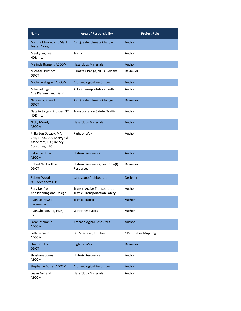| <b>Name</b>                                                                                       | <b>Area of Responsibility</b>                                     | <b>Project Role</b>    |
|---------------------------------------------------------------------------------------------------|-------------------------------------------------------------------|------------------------|
| Martha Moore, P.E. Maul<br><b>Foster Alongi</b>                                                   | Air Quality, Climate Change                                       | Author                 |
| Meekyung Lee<br>HDR Inc.                                                                          | <b>Traffic</b>                                                    | Author                 |
| Melinda Borgens AECOM                                                                             | <b>Hazardous Materials</b>                                        | <b>Author</b>          |
| Michael Holthoff<br>ODOT                                                                          | Climate Change, NEPA Review                                       | Reviewer               |
| Michelle Stegner AECOM                                                                            | <b>Archaeological Resources</b>                                   | Author                 |
| Mike Sellinger<br>Alta Planning and Design                                                        | Active Transportation, Traffic                                    | Author                 |
| Natalie Liljenwall<br><b>ODOT</b>                                                                 | Air Quality, Climate Change                                       | Reviewer               |
| Natalie Sager (Lindsoe) EIT<br>HDR Inc.                                                           | <b>Transportation Safety, Traffic</b>                             | Author                 |
| <b>Nicky Moody</b><br><b>AECOM</b>                                                                | <b>Hazardous Materials</b>                                        | Author                 |
| P. Barton DeLacy, MAI,<br>CRE, FRICS, D.A. Mervyn &<br>Associates, LLC; Delacy<br>Consulting, LLC | Right of Way                                                      | Author                 |
| <b>Patience Stuart</b><br><b>AECOM</b>                                                            | <b>Historic Resources</b>                                         | Author                 |
| Robert W. Hadlow<br>ODOT                                                                          | Historic Resources, Section 4(f)<br>Resources                     | Reviewer               |
| <b>Robert Wood</b><br><b>ZGF Architects LLP</b>                                                   | Landscape Architecture                                            | Designer               |
| Rory Renfro<br>Alta Planning and Design                                                           | Transit, Active Transportation,<br>Traffic, Transportation Safety | Author                 |
| Ryan LeProwse<br>Parametrix                                                                       | Traffic, Transit                                                  | Author                 |
| Ryan Sheean, PE, HDR,<br>Inc.                                                                     | <b>Water Resources</b>                                            | Author                 |
| Sarah McDaniel<br><b>AECOM</b>                                                                    | <b>Archaeological Resources</b>                                   | Author                 |
| Seth Bergeson<br>AECOM                                                                            | <b>GIS Specialist, Utilities</b>                                  | GIS, Utilities Mapping |
| <b>Shannon Fish</b><br>ODOT                                                                       | <b>Right of Way</b>                                               | Reviewer               |
| Shoshana Jones<br><b>AECOM</b>                                                                    | <b>Historic Resources</b>                                         | Author                 |
| <b>Stephanie Butler AECOM</b>                                                                     | <b>Archaeological Resources</b>                                   | Author                 |
| Susan Garland<br>AECOM                                                                            | <b>Hazardous Materials</b>                                        | Author                 |